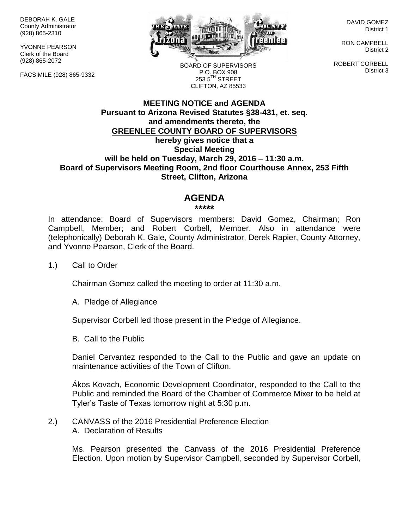DEBORAH K. GALE County Administrator (928) 865-2310

YVONNE PEARSON Clerk of the Board (928) 865-2072

FACSIMILE (928) 865-9332



DAVID GOMEZ District 1

RON CAMPBELL District 2

ROBERT CORBELL District 3

BOARD OF SUPERVISORS P.O. BOX 908 253 5TH STREET CLIFTON, AZ 85533

## **MEETING NOTICE and AGENDA Pursuant to Arizona Revised Statutes §38-431, et. seq. and amendments thereto, the GREENLEE COUNTY BOARD OF SUPERVISORS hereby gives notice that a Special Meeting will be held on Tuesday, March 29, 2016 – 11:30 a.m. Board of Supervisors Meeting Room, 2nd floor Courthouse Annex, 253 Fifth Street, Clifton, Arizona**

## **AGENDA**

## **\*\*\*\*\***

In attendance: Board of Supervisors members: David Gomez, Chairman; Ron Campbell, Member; and Robert Corbell, Member. Also in attendance were (telephonically) Deborah K. Gale, County Administrator, Derek Rapier, County Attorney, and Yvonne Pearson, Clerk of the Board.

1.) Call to Order

Chairman Gomez called the meeting to order at 11:30 a.m.

A. Pledge of Allegiance

Supervisor Corbell led those present in the Pledge of Allegiance.

B. Call to the Public

Daniel Cervantez responded to the Call to the Public and gave an update on maintenance activities of the Town of Clifton.

Ákos Kovach, Economic Development Coordinator, responded to the Call to the Public and reminded the Board of the Chamber of Commerce Mixer to be held at Tyler's Taste of Texas tomorrow night at 5:30 p.m.

2.) CANVASS of the 2016 Presidential Preference Election A. Declaration of Results

> Ms. Pearson presented the Canvass of the 2016 Presidential Preference Election. Upon motion by Supervisor Campbell, seconded by Supervisor Corbell,